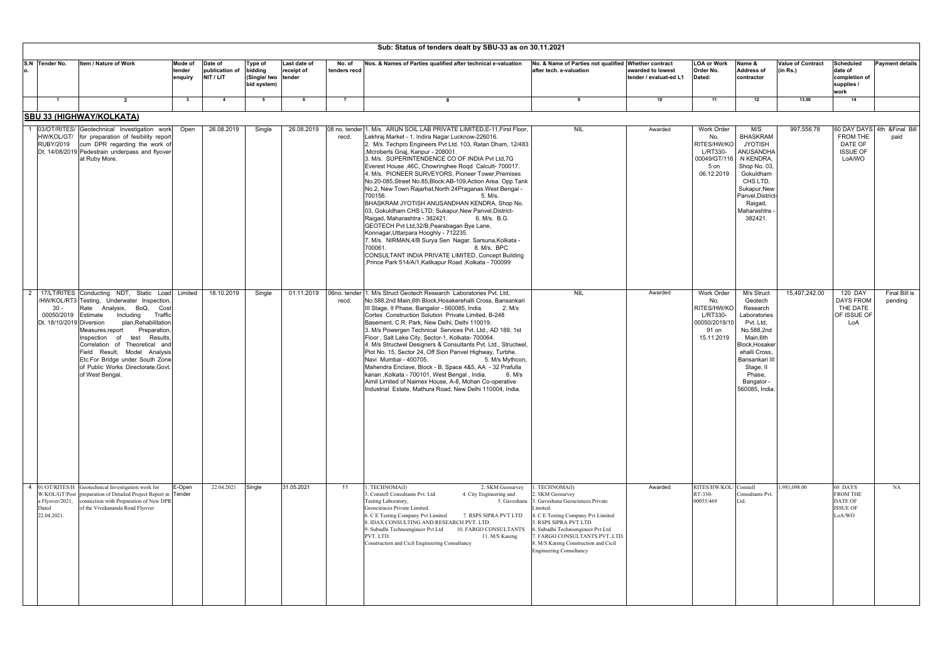| Sub: Status of tenders dealt by SBU-33 as on 30.11.2021   |                                                                                                                                                                                                                                                                                                                                                                                                                          |                              |                                        |                                                          |                            |                        |                                                                                                                                                                                                                                                                                                                                                                                                                                                                                                                                                                                                                                                                                                                                                                                                                                                                                                                                                                                                             |                                                                                                                                                                                                                                                                                                               |                                             |                                                                                             |                                                                                                                                                                                                          |                                      |                                                                    |                                      |
|-----------------------------------------------------------|--------------------------------------------------------------------------------------------------------------------------------------------------------------------------------------------------------------------------------------------------------------------------------------------------------------------------------------------------------------------------------------------------------------------------|------------------------------|----------------------------------------|----------------------------------------------------------|----------------------------|------------------------|-------------------------------------------------------------------------------------------------------------------------------------------------------------------------------------------------------------------------------------------------------------------------------------------------------------------------------------------------------------------------------------------------------------------------------------------------------------------------------------------------------------------------------------------------------------------------------------------------------------------------------------------------------------------------------------------------------------------------------------------------------------------------------------------------------------------------------------------------------------------------------------------------------------------------------------------------------------------------------------------------------------|---------------------------------------------------------------------------------------------------------------------------------------------------------------------------------------------------------------------------------------------------------------------------------------------------------------|---------------------------------------------|---------------------------------------------------------------------------------------------|----------------------------------------------------------------------------------------------------------------------------------------------------------------------------------------------------------|--------------------------------------|--------------------------------------------------------------------|--------------------------------------|
| S.N Tender No.<br>о.                                      | Item / Nature of Work                                                                                                                                                                                                                                                                                                                                                                                                    | Mode of<br>tender<br>enquiry | Date of<br>publication of<br>NIT / LIT | Type of<br>bidding<br>(Single/ two tender<br>bid system) | Last date of<br>receipt of | No. of<br>tenders recd | Nos. & Names of Parties qualified after technical e-valuation                                                                                                                                                                                                                                                                                                                                                                                                                                                                                                                                                                                                                                                                                                                                                                                                                                                                                                                                               | No. & Name of Parties not qualified Whether contract<br>after tech. e-valuation                                                                                                                                                                                                                               | awarded to lowest<br>tender / evaluat-ed L1 | LOA or Work<br>Order No.<br>Dated:                                                          | Name &<br><b>Address of</b><br>contractor                                                                                                                                                                | <b>Value of Contract</b><br>(in Rs.) | Scheduled<br>date of<br>completion of<br>supplies /<br>work        | <b>Payment details</b>               |
| $\overline{1}$                                            | $\overline{2}$                                                                                                                                                                                                                                                                                                                                                                                                           | $_{3}$                       | $\overline{\bf{4}}$                    | 5                                                        | - 6                        | $\overline{7}$         | -8                                                                                                                                                                                                                                                                                                                                                                                                                                                                                                                                                                                                                                                                                                                                                                                                                                                                                                                                                                                                          | 9                                                                                                                                                                                                                                                                                                             | 10                                          | 11                                                                                          | 12                                                                                                                                                                                                       | 13.00                                | 14                                                                 |                                      |
|                                                           | SBU 33 (HIGHWAY/KOLKATA)                                                                                                                                                                                                                                                                                                                                                                                                 |                              |                                        |                                                          |                            |                        |                                                                                                                                                                                                                                                                                                                                                                                                                                                                                                                                                                                                                                                                                                                                                                                                                                                                                                                                                                                                             |                                                                                                                                                                                                                                                                                                               |                                             |                                                                                             |                                                                                                                                                                                                          |                                      |                                                                    |                                      |
| <b>RUBY/2019</b>                                          | 03/OT/RITES/ Geotechnical Investigation work<br>HW/KOL/GT/ for preparation of fesibility report<br>cum DPR regarding the work of<br>Dt. 14/08/2019 Pedestrain underpass and flyover<br>at Ruby More.                                                                                                                                                                                                                     | Open                         | 26.08.2019                             | Single                                                   | 26.08.2019                 | recd.                  | 08 no. tender 1. M/s. ARUN SOIL LAB PRIVATE LIMITED, E-11, First Floor,<br>Lekhraj Market - 1, Indira Nagar Lucknow-226016.<br>2. M/s. Techpro Engineers Pvt Ltd. 103, Ratan Dham, 12/483<br>, Mcroberts Gnaj, Kanpur - 208001.<br>3. M/s. SUPERINTENDENCE CO OF INDIA Pvt Ltd, 7G<br>Everest House ,46C, Chowringhee Road Calcutt- 700017.<br>4. M/s. PIONEER SURVEYORS, Pioneer Tower, Premises<br>No.20-085, Street No.85, Block: AB-109, Action Area. Opp. Tank<br>No.2, New Town Rajarhat, North 24Praganas. West Bengal -<br>700156.<br>5. M/s.<br>BHASKRAM JYOTISH ANUSANDHAN KENDRA, Shop No.<br>03, Gokuldham CHS LTD, Sukapur, New Panvel, District-<br>Raigad, Maharashtra - 382421.<br>6. M/s. B.G.<br>GEOTECH Pvt Ltd, 32/B, Pearabagan Bye Lane,<br>Konnagar, Uttarpara Hooghly - 712235.<br>7. M/s. NIRMAN, 4/B Surya Sen Nagar, Sarsuna, Kolkata -<br>700061.<br>8. M/s. BPC<br>CONSULTANT INDIA PRIVATE LIMITED, Concept Building<br>Prince Park 514/A/1, Kalikapur Road, Kolkata - 700099 | <b>NIL</b>                                                                                                                                                                                                                                                                                                    | Awarded                                     | Work Order<br>No.<br>RITES/HW/KO<br>L/RT330-<br>00049/GT/116<br>5 on<br>06.12.2019          | M/S<br><b>BHASKRAM</b><br><b>JYOTISH</b><br>ANUSANDHA<br>N KENDRA,<br>Shop No. 03,<br>Gokuldham<br>CHS LTD,<br>Sukapur, New<br>Panvel, District<br>Raigad,<br>Maharashtra<br>382421.                     | 997,556.78                           | FROM THE<br>DATE OF<br><b>ISSUE OF</b><br>LoA/WO                   | 60 DAY DAYS 4th & Final Bill<br>paid |
| $30 -$<br>00050/2019<br>Dt. 18/10/2019 Diversion          | 2   17/LT/RITES Conducting NDT, Static Load<br>/HW/KOL/RT3 Testing, Underwater Inspection,<br>Rate Analysis, BoQ,<br>Cost<br>Estimate<br>Including<br>Traffic<br>plan, Rehabilitation<br>Preparation<br>Measures,report<br>test<br>Results<br>Inspection of<br>Correlation of Theoretical and<br>Field Result, Model Analysis<br>Etc.For Bridge under South Zone<br>of Public Works Directorate, Govt<br>of West Bengal. | Limited                      | 18.10.2019                             | Single                                                   | 01.11.2019                 | recd.                  | 06no. tender 1. M/s Struct Geotech Research Laboratories Pvt. Ltd,<br>No.588,2nd Main,6th Block, Hosakerehalli Cross, Bansankari<br>III Stage, II Phase, Bangalor - 560085, India.<br>2. M/s<br>Cortex Construction Solution Private Limited, B-248<br>Basement, C.R. Park, New Delhi, Delhi 110019.<br>3. M/s Powergen Technical Services Pvt. Ltd., AD 189, 1st<br>Floor, Salt Lake City, Sector-1, Kolkata- 700064.<br>4. M/s Structwel Designers & Consultants Pvt. Ltd., Structwel,<br>Plot No. 15, Sector 24, Off Sion Panvel Highway, Turbhe,<br>Navi Mumbai - 400705.<br>5. M/s Mythcon,<br>Mahendra Enclave, Block - B, Space 4&5, AA - 32 Prafulla<br>kanan, Kolkata - 700101, West Bengal, India.<br>6. M/s<br>Aimil Limited of Naimex House, A-8, Mohan Co-operative<br>Industrial Estate, Mathura Road, New Delhi 110004, India.                                                                                                                                                               | <b>NIL</b>                                                                                                                                                                                                                                                                                                    | Awarded                                     | <b>Work Order</b><br>No.<br>RITES/HW/KO<br>L/RT330-<br>00050/2019/10<br>91 on<br>15.11.2019 | M/s Struct<br>Geotech<br>Research<br>Laboratories<br>Pvt. Ltd,<br>No.588,2nd<br>Main, 6th<br>Block, Hosaker<br>ehalli Cross.<br>Bansankari II<br>Stage, II<br>Phase.<br><b>Bangalor</b><br>560085, India | 15,497,242.00                        | 120 DAY<br><b>DAYS FROM</b><br>THE DATE<br>OF ISSUE OF<br>LoA      | Final Bill is<br>pending             |
| $\overline{4}$<br>a Flyover/2021,<br>Dated<br>22.04.2021. | 01/OT/RITES/H Geotechnical Investigation work for<br>W/KOL/GT/Post preparation of Detailed Project Report in Tender<br>connection with Preparation of New DPR<br>of the Vivekananda Road Flyover                                                                                                                                                                                                                         | E-Open                       | 22.04.2021                             | Single                                                   | 31.05.2021                 | 11                     | 1. TECHNOMA(I)<br>2. SKM Geosurvey<br>3. Constell Consultants Pvt. Ltd.<br>4. City Engineering and<br>Testing Laboratory,<br>Geosciences Private Limited.<br>6. C E Testing Company Pvt Limited<br>7. RSPS SIPRA PVT LTD<br>8. IDAX CONSULTING AND RESEARCH PVT. LTD.<br>10. FARGO CONSULTANTS<br>9. Subudhi Technoengineer Pvt Ltd<br>PVT. LTD.<br>11. M/S Kareng<br>Construction and Cicil Engineering Consultancy                                                                                                                                                                                                                                                                                                                                                                                                                                                                                                                                                                                        | 1. TECHNOMA(I)<br>2. SKM Geosurvey<br>5. Gaveshana 3. Gaveshana Geosciences Private<br>imited.<br>4. C E Testing Company Pvt Limited<br>5. RSPS SIPRA PVT LTD<br>6. Subudhi Technoengineer Pvt Ltd<br>. FARGO CONSULTANTS PVT. LTD.<br>8. M/S Kareng Construction and Cicil<br><b>Engineering Consultancy</b> | Awarded                                     | RITES/HW/KOL/ Constell<br>RT-330-<br>00055/469                                              | Consultants Pvt.<br>Ltd.                                                                                                                                                                                 | 1,981,098.00                         | 60 DAYS<br><b>FROM THE</b><br>DATE OF<br><b>ISSUE OF</b><br>LoA/WO | NA                                   |